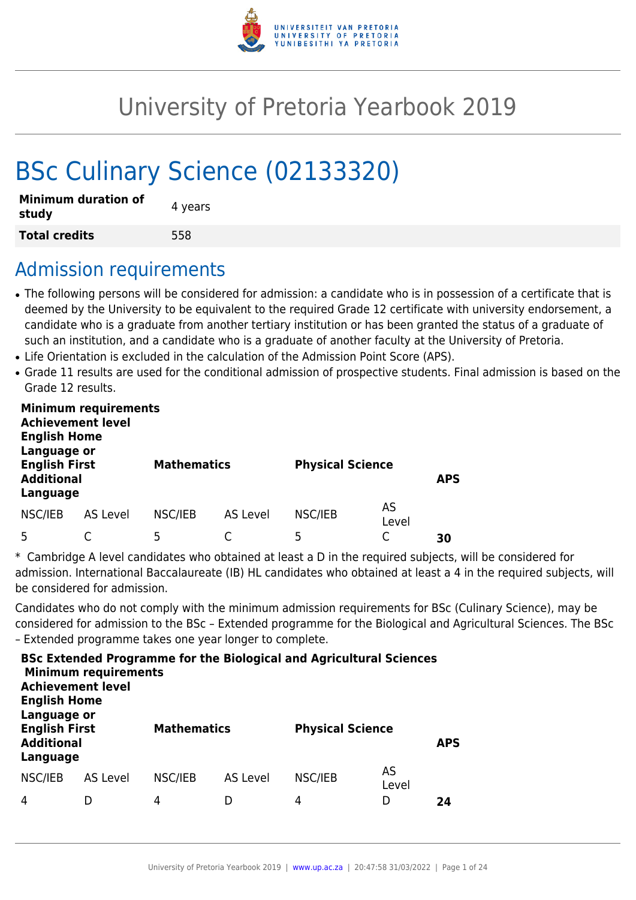

# University of Pretoria Yearbook 2019

# BSc Culinary Science (02133320)

| <b>Minimum duration of</b><br>study | 4 years |
|-------------------------------------|---------|
| <b>Total credits</b>                | 558     |

# Admission requirements

- The following persons will be considered for admission: a candidate who is in possession of a certificate that is deemed by the University to be equivalent to the required Grade 12 certificate with university endorsement, a candidate who is a graduate from another tertiary institution or has been granted the status of a graduate of such an institution, and a candidate who is a graduate of another faculty at the University of Pretoria.
- Life Orientation is excluded in the calculation of the Admission Point Score (APS).
- Grade 11 results are used for the conditional admission of prospective students. Final admission is based on the Grade 12 results.

| <b>Achievement level</b><br><b>English Home</b><br>Language or<br><b>English First</b><br><b>Additional</b><br>Language | <b>Minimum requirements</b> | <b>Mathematics</b> |                 | <b>Physical Science</b> |             | <b>APS</b> |
|-------------------------------------------------------------------------------------------------------------------------|-----------------------------|--------------------|-----------------|-------------------------|-------------|------------|
| NSC/IEB                                                                                                                 | AS Level                    | NSC/IEB            | <b>AS Level</b> | NSC/IEB                 | AS<br>Level |            |
|                                                                                                                         |                             | 5                  |                 | 5                       |             | 30         |

\* Cambridge A level candidates who obtained at least a D in the required subjects, will be considered for admission. International Baccalaureate (IB) HL candidates who obtained at least a 4 in the required subjects, will be considered for admission.

Candidates who do not comply with the minimum admission requirements for BSc (Culinary Science), may be considered for admission to the BSc – Extended programme for the Biological and Agricultural Sciences. The BSc – Extended programme takes one year longer to complete.

| <b>Achievement level</b><br><b>English Home</b>                      | <b>Minimum requirements</b> |                    |                 | <b>BSc Extended Programme for the Biological and Agricultural Sciences</b> |             |            |
|----------------------------------------------------------------------|-----------------------------|--------------------|-----------------|----------------------------------------------------------------------------|-------------|------------|
| Language or<br><b>English First</b><br><b>Additional</b><br>Language |                             | <b>Mathematics</b> |                 | <b>Physical Science</b>                                                    |             | <b>APS</b> |
| NSC/IEB                                                              | AS Level                    | NSC/IEB            | <b>AS Level</b> | NSC/IEB                                                                    | AS<br>Level |            |
| 4                                                                    |                             | 4                  |                 | 4                                                                          | D           | 24         |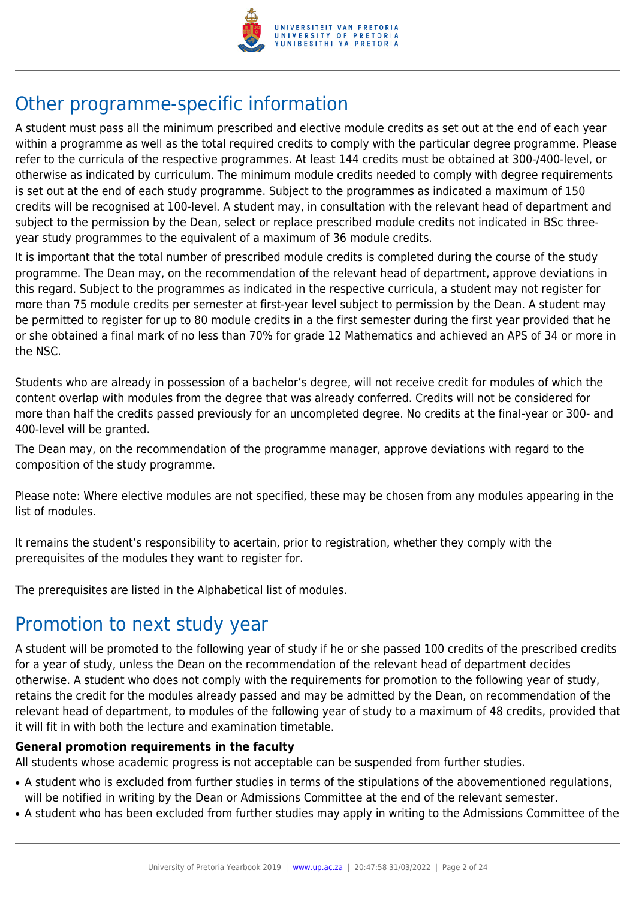

# Other programme-specific information

A student must pass all the minimum prescribed and elective module credits as set out at the end of each year within a programme as well as the total required credits to comply with the particular degree programme. Please refer to the curricula of the respective programmes. At least 144 credits must be obtained at 300-/400-level, or otherwise as indicated by curriculum. The minimum module credits needed to comply with degree requirements is set out at the end of each study programme. Subject to the programmes as indicated a maximum of 150 credits will be recognised at 100-level. A student may, in consultation with the relevant head of department and subject to the permission by the Dean, select or replace prescribed module credits not indicated in BSc threeyear study programmes to the equivalent of a maximum of 36 module credits.

It is important that the total number of prescribed module credits is completed during the course of the study programme. The Dean may, on the recommendation of the relevant head of department, approve deviations in this regard. Subject to the programmes as indicated in the respective curricula, a student may not register for more than 75 module credits per semester at first-year level subject to permission by the Dean. A student may be permitted to register for up to 80 module credits in a the first semester during the first year provided that he or she obtained a final mark of no less than 70% for grade 12 Mathematics and achieved an APS of 34 or more in the NSC.

Students who are already in possession of a bachelor's degree, will not receive credit for modules of which the content overlap with modules from the degree that was already conferred. Credits will not be considered for more than half the credits passed previously for an uncompleted degree. No credits at the final-year or 300- and 400-level will be granted.

The Dean may, on the recommendation of the programme manager, approve deviations with regard to the composition of the study programme.

Please note: Where elective modules are not specified, these may be chosen from any modules appearing in the list of modules.

It remains the student's responsibility to acertain, prior to registration, whether they comply with the prerequisites of the modules they want to register for.

The prerequisites are listed in the Alphabetical list of modules.

# Promotion to next study year

A student will be promoted to the following year of study if he or she passed 100 credits of the prescribed credits for a year of study, unless the Dean on the recommendation of the relevant head of department decides otherwise. A student who does not comply with the requirements for promotion to the following year of study, retains the credit for the modules already passed and may be admitted by the Dean, on recommendation of the relevant head of department, to modules of the following year of study to a maximum of 48 credits, provided that it will fit in with both the lecture and examination timetable.

#### **General promotion requirements in the faculty**

All students whose academic progress is not acceptable can be suspended from further studies.

- A student who is excluded from further studies in terms of the stipulations of the abovementioned regulations, will be notified in writing by the Dean or Admissions Committee at the end of the relevant semester.
- A student who has been excluded from further studies may apply in writing to the Admissions Committee of the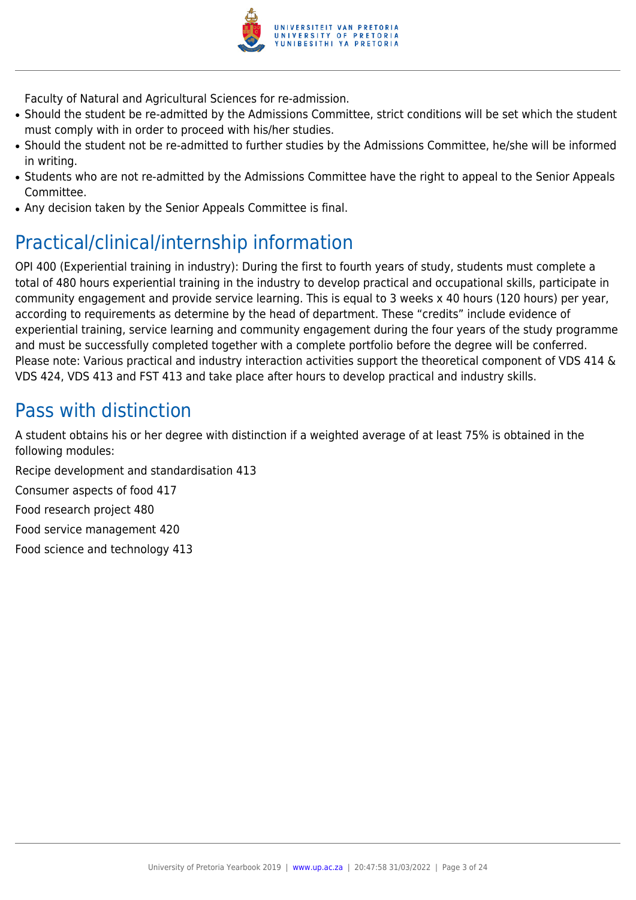

Faculty of Natural and Agricultural Sciences for re-admission.

- Should the student be re-admitted by the Admissions Committee, strict conditions will be set which the student must comply with in order to proceed with his/her studies.
- Should the student not be re-admitted to further studies by the Admissions Committee, he/she will be informed in writing.
- Students who are not re-admitted by the Admissions Committee have the right to appeal to the Senior Appeals Committee.
- Any decision taken by the Senior Appeals Committee is final.

# Practical/clinical/internship information

OPI 400 (Experiential training in industry): During the first to fourth years of study, students must complete a total of 480 hours experiential training in the industry to develop practical and occupational skills, participate in community engagement and provide service learning. This is equal to 3 weeks x 40 hours (120 hours) per year, according to requirements as determine by the head of department. These "credits" include evidence of experiential training, service learning and community engagement during the four years of the study programme and must be successfully completed together with a complete portfolio before the degree will be conferred. Please note: Various practical and industry interaction activities support the theoretical component of VDS 414 & VDS 424, VDS 413 and FST 413 and take place after hours to develop practical and industry skills.

# Pass with distinction

A student obtains his or her degree with distinction if a weighted average of at least 75% is obtained in the following modules:

Recipe development and standardisation 413

Consumer aspects of food 417

Food research project 480

Food service management 420

Food science and technology 413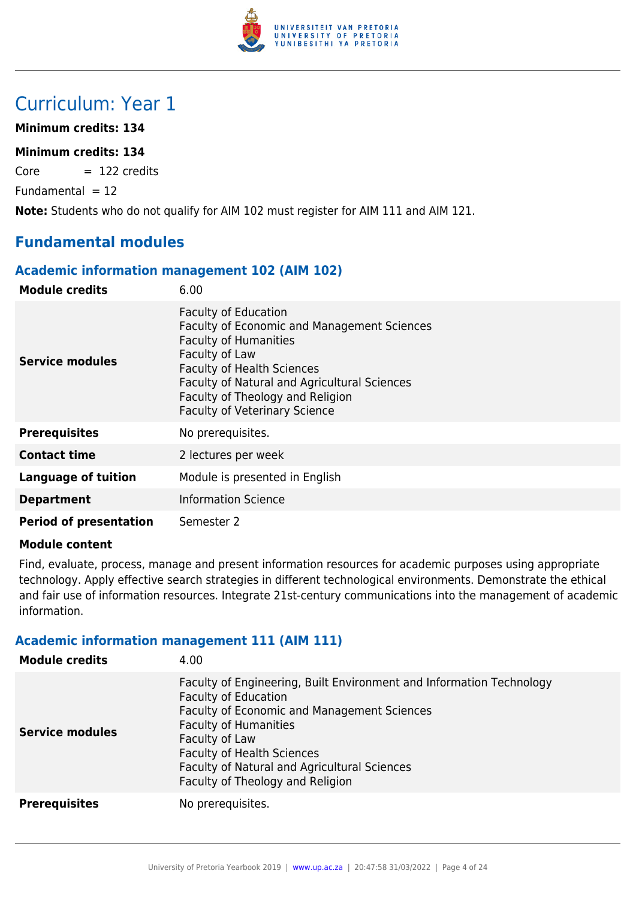

# Curriculum: Year 1

#### **Minimum credits: 134**

#### **Minimum credits: 134**

 $Core = 122 \text{ credits}$ 

Fundamental  $= 12$ 

**Note:** Students who do not qualify for AIM 102 must register for AIM 111 and AIM 121.

### **Fundamental modules**

#### **Academic information management 102 (AIM 102)**

| <b>Module credits</b>         | 6.00                                                                                                                                                                                                                                                                                                 |
|-------------------------------|------------------------------------------------------------------------------------------------------------------------------------------------------------------------------------------------------------------------------------------------------------------------------------------------------|
| <b>Service modules</b>        | <b>Faculty of Education</b><br><b>Faculty of Economic and Management Sciences</b><br><b>Faculty of Humanities</b><br>Faculty of Law<br><b>Faculty of Health Sciences</b><br>Faculty of Natural and Agricultural Sciences<br>Faculty of Theology and Religion<br><b>Faculty of Veterinary Science</b> |
| <b>Prerequisites</b>          | No prerequisites.                                                                                                                                                                                                                                                                                    |
| <b>Contact time</b>           | 2 lectures per week                                                                                                                                                                                                                                                                                  |
| <b>Language of tuition</b>    | Module is presented in English                                                                                                                                                                                                                                                                       |
| <b>Department</b>             | <b>Information Science</b>                                                                                                                                                                                                                                                                           |
| <b>Period of presentation</b> | Semester 2                                                                                                                                                                                                                                                                                           |

#### **Module content**

Find, evaluate, process, manage and present information resources for academic purposes using appropriate technology. Apply effective search strategies in different technological environments. Demonstrate the ethical and fair use of information resources. Integrate 21st-century communications into the management of academic information.

#### **Academic information management 111 (AIM 111)**

| <b>Module credits</b>  | 4.00                                                                                                                                                                                                                                                                                                                                 |
|------------------------|--------------------------------------------------------------------------------------------------------------------------------------------------------------------------------------------------------------------------------------------------------------------------------------------------------------------------------------|
| <b>Service modules</b> | Faculty of Engineering, Built Environment and Information Technology<br><b>Faculty of Education</b><br><b>Faculty of Economic and Management Sciences</b><br><b>Faculty of Humanities</b><br>Faculty of Law<br><b>Faculty of Health Sciences</b><br>Faculty of Natural and Agricultural Sciences<br>Faculty of Theology and Religion |
| <b>Prerequisites</b>   | No prerequisites.                                                                                                                                                                                                                                                                                                                    |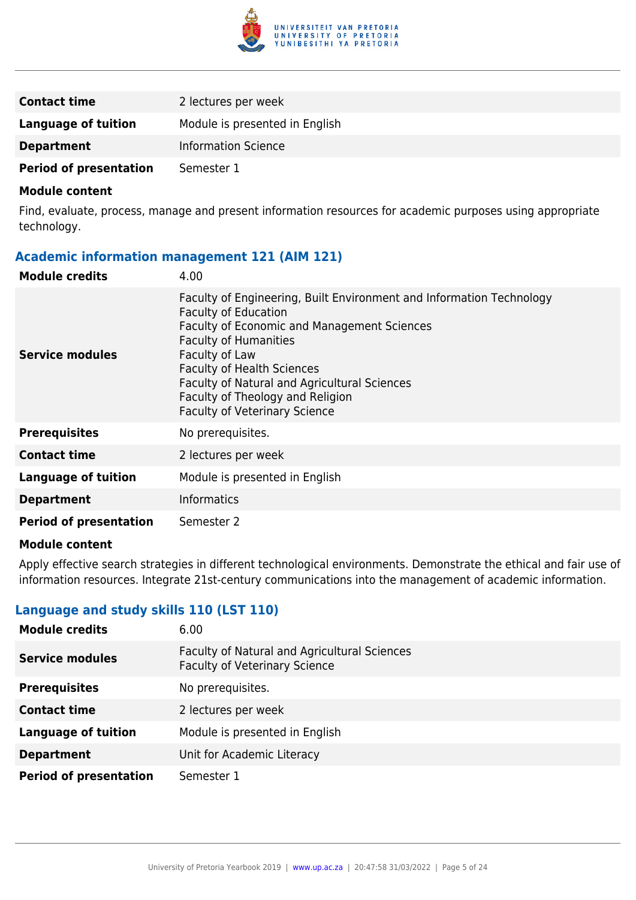

| <b>Contact time</b>           | 2 lectures per week            |
|-------------------------------|--------------------------------|
| Language of tuition           | Module is presented in English |
| <b>Department</b>             | <b>Information Science</b>     |
| <b>Period of presentation</b> | Semester 1                     |

Find, evaluate, process, manage and present information resources for academic purposes using appropriate technology.

#### **Academic information management 121 (AIM 121)**

| <b>Module credits</b>         | 4.00                                                                                                                                                                                                                                                                                                                                                                  |
|-------------------------------|-----------------------------------------------------------------------------------------------------------------------------------------------------------------------------------------------------------------------------------------------------------------------------------------------------------------------------------------------------------------------|
| Service modules               | Faculty of Engineering, Built Environment and Information Technology<br><b>Faculty of Education</b><br>Faculty of Economic and Management Sciences<br><b>Faculty of Humanities</b><br>Faculty of Law<br><b>Faculty of Health Sciences</b><br>Faculty of Natural and Agricultural Sciences<br>Faculty of Theology and Religion<br><b>Faculty of Veterinary Science</b> |
| <b>Prerequisites</b>          | No prerequisites.                                                                                                                                                                                                                                                                                                                                                     |
| <b>Contact time</b>           | 2 lectures per week                                                                                                                                                                                                                                                                                                                                                   |
| Language of tuition           | Module is presented in English                                                                                                                                                                                                                                                                                                                                        |
| <b>Department</b>             | <b>Informatics</b>                                                                                                                                                                                                                                                                                                                                                    |
| <b>Period of presentation</b> | Semester 2                                                                                                                                                                                                                                                                                                                                                            |

#### **Module content**

Apply effective search strategies in different technological environments. Demonstrate the ethical and fair use of information resources. Integrate 21st-century communications into the management of academic information.

#### **Language and study skills 110 (LST 110)**

| <b>Module credits</b>         | 6.00                                                                                 |
|-------------------------------|--------------------------------------------------------------------------------------|
| <b>Service modules</b>        | Faculty of Natural and Agricultural Sciences<br><b>Faculty of Veterinary Science</b> |
| <b>Prerequisites</b>          | No prerequisites.                                                                    |
| <b>Contact time</b>           | 2 lectures per week                                                                  |
| <b>Language of tuition</b>    | Module is presented in English                                                       |
| <b>Department</b>             | Unit for Academic Literacy                                                           |
| <b>Period of presentation</b> | Semester 1                                                                           |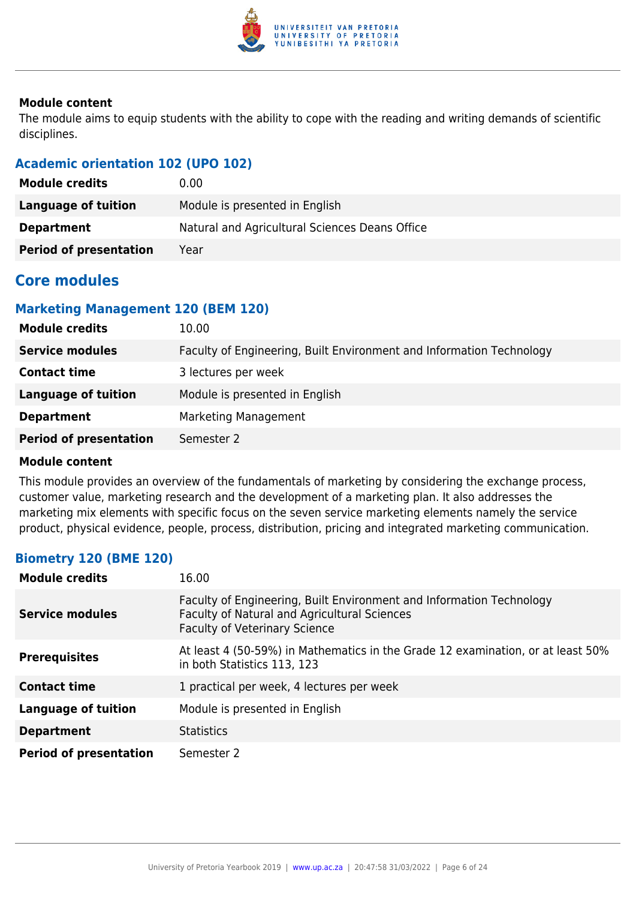

The module aims to equip students with the ability to cope with the reading and writing demands of scientific disciplines.

### **Academic orientation 102 (UPO 102)**

| <b>Module credits</b>         | 0.00                                           |
|-------------------------------|------------------------------------------------|
| Language of tuition           | Module is presented in English                 |
| <b>Department</b>             | Natural and Agricultural Sciences Deans Office |
| <b>Period of presentation</b> | Year                                           |

# **Core modules**

#### **Marketing Management 120 (BEM 120)**

| <b>Module credits</b>         | 10.00                                                                |
|-------------------------------|----------------------------------------------------------------------|
| <b>Service modules</b>        | Faculty of Engineering, Built Environment and Information Technology |
| <b>Contact time</b>           | 3 lectures per week                                                  |
| <b>Language of tuition</b>    | Module is presented in English                                       |
| <b>Department</b>             | Marketing Management                                                 |
| <b>Period of presentation</b> | Semester 2                                                           |

#### **Module content**

This module provides an overview of the fundamentals of marketing by considering the exchange process, customer value, marketing research and the development of a marketing plan. It also addresses the marketing mix elements with specific focus on the seven service marketing elements namely the service product, physical evidence, people, process, distribution, pricing and integrated marketing communication.

#### **Biometry 120 (BME 120)**

| <b>Module credits</b>         | 16.00                                                                                                                                                        |
|-------------------------------|--------------------------------------------------------------------------------------------------------------------------------------------------------------|
| Service modules               | Faculty of Engineering, Built Environment and Information Technology<br>Faculty of Natural and Agricultural Sciences<br><b>Faculty of Veterinary Science</b> |
| <b>Prerequisites</b>          | At least 4 (50-59%) in Mathematics in the Grade 12 examination, or at least 50%<br>in both Statistics 113, 123                                               |
| <b>Contact time</b>           | 1 practical per week, 4 lectures per week                                                                                                                    |
| <b>Language of tuition</b>    | Module is presented in English                                                                                                                               |
| <b>Department</b>             | <b>Statistics</b>                                                                                                                                            |
| <b>Period of presentation</b> | Semester 2                                                                                                                                                   |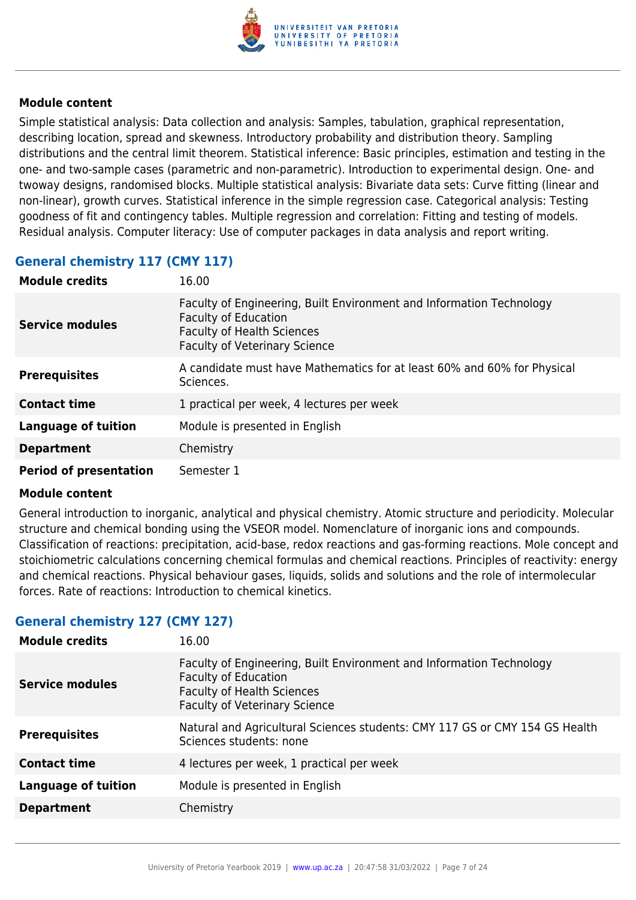

Simple statistical analysis: Data collection and analysis: Samples, tabulation, graphical representation, describing location, spread and skewness. Introductory probability and distribution theory. Sampling distributions and the central limit theorem. Statistical inference: Basic principles, estimation and testing in the one- and two-sample cases (parametric and non-parametric). Introduction to experimental design. One- and twoway designs, randomised blocks. Multiple statistical analysis: Bivariate data sets: Curve fitting (linear and non-linear), growth curves. Statistical inference in the simple regression case. Categorical analysis: Testing goodness of fit and contingency tables. Multiple regression and correlation: Fitting and testing of models. Residual analysis. Computer literacy: Use of computer packages in data analysis and report writing.

#### **General chemistry 117 (CMY 117)**

| <b>Module credits</b>         | 16.00                                                                                                                                                                            |
|-------------------------------|----------------------------------------------------------------------------------------------------------------------------------------------------------------------------------|
| Service modules               | Faculty of Engineering, Built Environment and Information Technology<br><b>Faculty of Education</b><br><b>Faculty of Health Sciences</b><br><b>Faculty of Veterinary Science</b> |
| <b>Prerequisites</b>          | A candidate must have Mathematics for at least 60% and 60% for Physical<br>Sciences.                                                                                             |
| <b>Contact time</b>           | 1 practical per week, 4 lectures per week                                                                                                                                        |
| <b>Language of tuition</b>    | Module is presented in English                                                                                                                                                   |
| <b>Department</b>             | Chemistry                                                                                                                                                                        |
| <b>Period of presentation</b> | Semester 1                                                                                                                                                                       |

#### **Module content**

General introduction to inorganic, analytical and physical chemistry. Atomic structure and periodicity. Molecular structure and chemical bonding using the VSEOR model. Nomenclature of inorganic ions and compounds. Classification of reactions: precipitation, acid-base, redox reactions and gas-forming reactions. Mole concept and stoichiometric calculations concerning chemical formulas and chemical reactions. Principles of reactivity: energy and chemical reactions. Physical behaviour gases, liquids, solids and solutions and the role of intermolecular forces. Rate of reactions: Introduction to chemical kinetics.

#### **General chemistry 127 (CMY 127)**

| <b>Module credits</b>      | 16.00                                                                                                                                                                     |
|----------------------------|---------------------------------------------------------------------------------------------------------------------------------------------------------------------------|
| <b>Service modules</b>     | Faculty of Engineering, Built Environment and Information Technology<br>Faculty of Education<br><b>Faculty of Health Sciences</b><br><b>Faculty of Veterinary Science</b> |
| <b>Prerequisites</b>       | Natural and Agricultural Sciences students: CMY 117 GS or CMY 154 GS Health<br>Sciences students: none                                                                    |
| <b>Contact time</b>        | 4 lectures per week, 1 practical per week                                                                                                                                 |
| <b>Language of tuition</b> | Module is presented in English                                                                                                                                            |
| <b>Department</b>          | Chemistry                                                                                                                                                                 |
|                            |                                                                                                                                                                           |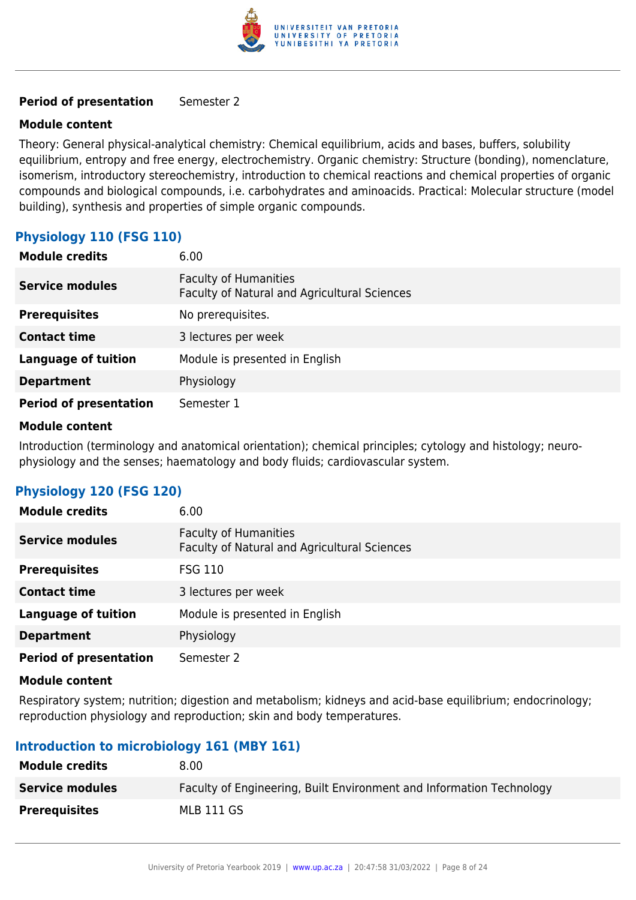

#### **Period of presentation** Semester 2

#### **Module content**

Theory: General physical-analytical chemistry: Chemical equilibrium, acids and bases, buffers, solubility equilibrium, entropy and free energy, electrochemistry. Organic chemistry: Structure (bonding), nomenclature, isomerism, introductory stereochemistry, introduction to chemical reactions and chemical properties of organic compounds and biological compounds, i.e. carbohydrates and aminoacids. Practical: Molecular structure (model building), synthesis and properties of simple organic compounds.

### **Physiology 110 (FSG 110)**

| <b>Module credits</b>         | 6.00                                                                         |
|-------------------------------|------------------------------------------------------------------------------|
| <b>Service modules</b>        | <b>Faculty of Humanities</b><br>Faculty of Natural and Agricultural Sciences |
| <b>Prerequisites</b>          | No prerequisites.                                                            |
| <b>Contact time</b>           | 3 lectures per week                                                          |
| <b>Language of tuition</b>    | Module is presented in English                                               |
| <b>Department</b>             | Physiology                                                                   |
| <b>Period of presentation</b> | Semester 1                                                                   |

#### **Module content**

Introduction (terminology and anatomical orientation); chemical principles; cytology and histology; neurophysiology and the senses; haematology and body fluids; cardiovascular system.

### **Physiology 120 (FSG 120)**

| <b>Module credits</b>         | 6.00                                                                         |
|-------------------------------|------------------------------------------------------------------------------|
| <b>Service modules</b>        | <b>Faculty of Humanities</b><br>Faculty of Natural and Agricultural Sciences |
| <b>Prerequisites</b>          | <b>FSG 110</b>                                                               |
| <b>Contact time</b>           | 3 lectures per week                                                          |
| <b>Language of tuition</b>    | Module is presented in English                                               |
| <b>Department</b>             | Physiology                                                                   |
| <b>Period of presentation</b> | Semester 2                                                                   |

#### **Module content**

Respiratory system; nutrition; digestion and metabolism; kidneys and acid-base equilibrium; endocrinology; reproduction physiology and reproduction; skin and body temperatures.

#### **Introduction to microbiology 161 (MBY 161)**

| <b>Module credits</b>  | 8.00                                                                 |
|------------------------|----------------------------------------------------------------------|
| <b>Service modules</b> | Faculty of Engineering, Built Environment and Information Technology |
| <b>Prerequisites</b>   | <b>MLB 111 GS</b>                                                    |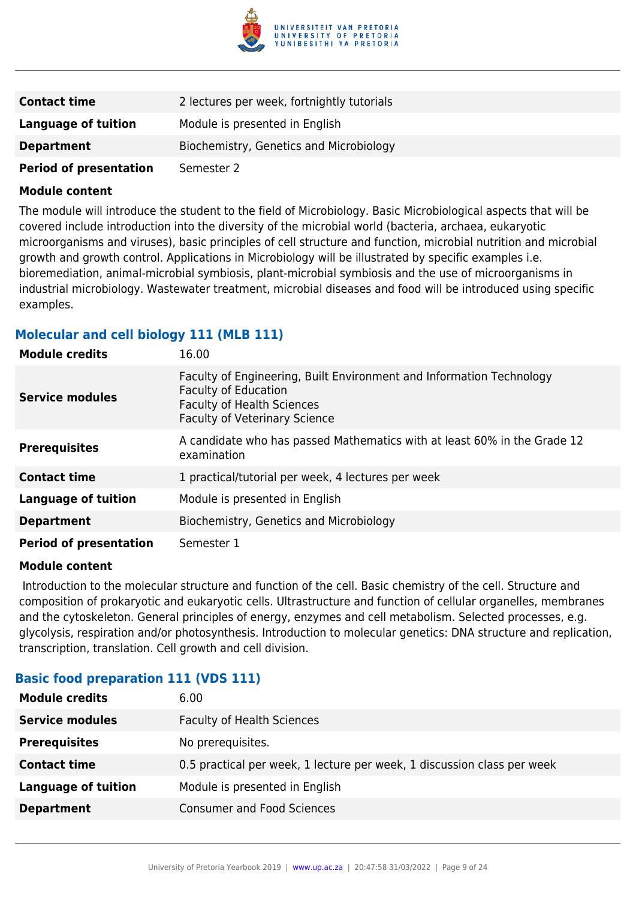

| <b>Contact time</b>           | 2 lectures per week, fortnightly tutorials |
|-------------------------------|--------------------------------------------|
| Language of tuition           | Module is presented in English             |
| <b>Department</b>             | Biochemistry, Genetics and Microbiology    |
| <b>Period of presentation</b> | Semester 2                                 |

The module will introduce the student to the field of Microbiology. Basic Microbiological aspects that will be covered include introduction into the diversity of the microbial world (bacteria, archaea, eukaryotic microorganisms and viruses), basic principles of cell structure and function, microbial nutrition and microbial growth and growth control. Applications in Microbiology will be illustrated by specific examples i.e. bioremediation, animal-microbial symbiosis, plant-microbial symbiosis and the use of microorganisms in industrial microbiology. Wastewater treatment, microbial diseases and food will be introduced using specific examples.

#### **Molecular and cell biology 111 (MLB 111)**

| <b>Module credits</b>         | 16.00                                                                                                                                                                            |
|-------------------------------|----------------------------------------------------------------------------------------------------------------------------------------------------------------------------------|
| <b>Service modules</b>        | Faculty of Engineering, Built Environment and Information Technology<br><b>Faculty of Education</b><br><b>Faculty of Health Sciences</b><br><b>Faculty of Veterinary Science</b> |
| <b>Prerequisites</b>          | A candidate who has passed Mathematics with at least 60% in the Grade 12<br>examination                                                                                          |
| <b>Contact time</b>           | 1 practical/tutorial per week, 4 lectures per week                                                                                                                               |
| <b>Language of tuition</b>    | Module is presented in English                                                                                                                                                   |
| <b>Department</b>             | Biochemistry, Genetics and Microbiology                                                                                                                                          |
| <b>Period of presentation</b> | Semester 1                                                                                                                                                                       |

#### **Module content**

 Introduction to the molecular structure and function of the cell. Basic chemistry of the cell. Structure and composition of prokaryotic and eukaryotic cells. Ultrastructure and function of cellular organelles, membranes and the cytoskeleton. General principles of energy, enzymes and cell metabolism. Selected processes, e.g. glycolysis, respiration and/or photosynthesis. Introduction to molecular genetics: DNA structure and replication, transcription, translation. Cell growth and cell division.

#### **Basic food preparation 111 (VDS 111)**

| <b>Module credits</b>      | 6.00                                                                    |
|----------------------------|-------------------------------------------------------------------------|
| <b>Service modules</b>     | <b>Faculty of Health Sciences</b>                                       |
| <b>Prerequisites</b>       | No prerequisites.                                                       |
| <b>Contact time</b>        | 0.5 practical per week, 1 lecture per week, 1 discussion class per week |
| <b>Language of tuition</b> | Module is presented in English                                          |
| <b>Department</b>          | <b>Consumer and Food Sciences</b>                                       |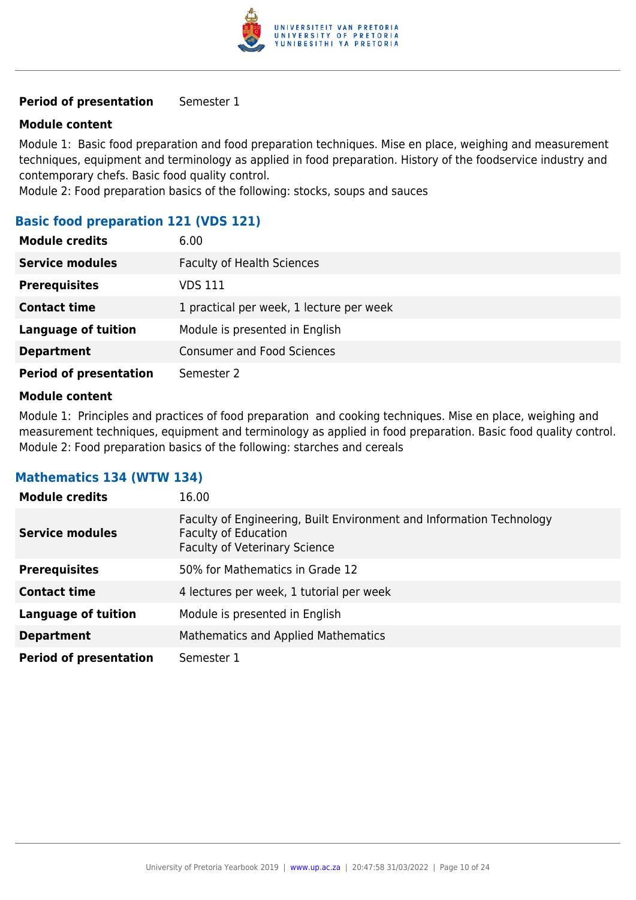

#### **Period of presentation** Semester 1

#### **Module content**

Module 1: Basic food preparation and food preparation techniques. Mise en place, weighing and measurement techniques, equipment and terminology as applied in food preparation. History of the foodservice industry and contemporary chefs. Basic food quality control.

Module 2: Food preparation basics of the following: stocks, soups and sauces

#### **Basic food preparation 121 (VDS 121)**

| <b>Module credits</b>         | 6.00                                     |
|-------------------------------|------------------------------------------|
| <b>Service modules</b>        | <b>Faculty of Health Sciences</b>        |
| <b>Prerequisites</b>          | VDS 111                                  |
| <b>Contact time</b>           | 1 practical per week, 1 lecture per week |
| <b>Language of tuition</b>    | Module is presented in English           |
| <b>Department</b>             | <b>Consumer and Food Sciences</b>        |
| <b>Period of presentation</b> | Semester 2                               |

#### **Module content**

Module 1: Principles and practices of food preparation and cooking techniques. Mise en place, weighing and measurement techniques, equipment and terminology as applied in food preparation. Basic food quality control. Module 2: Food preparation basics of the following: starches and cereals

#### **Mathematics 134 (WTW 134)**

| <b>Module credits</b>         | 16.00                                                                                                                                       |
|-------------------------------|---------------------------------------------------------------------------------------------------------------------------------------------|
| <b>Service modules</b>        | Faculty of Engineering, Built Environment and Information Technology<br><b>Faculty of Education</b><br><b>Faculty of Veterinary Science</b> |
| <b>Prerequisites</b>          | 50% for Mathematics in Grade 12                                                                                                             |
| <b>Contact time</b>           | 4 lectures per week, 1 tutorial per week                                                                                                    |
| <b>Language of tuition</b>    | Module is presented in English                                                                                                              |
| <b>Department</b>             | <b>Mathematics and Applied Mathematics</b>                                                                                                  |
| <b>Period of presentation</b> | Semester 1                                                                                                                                  |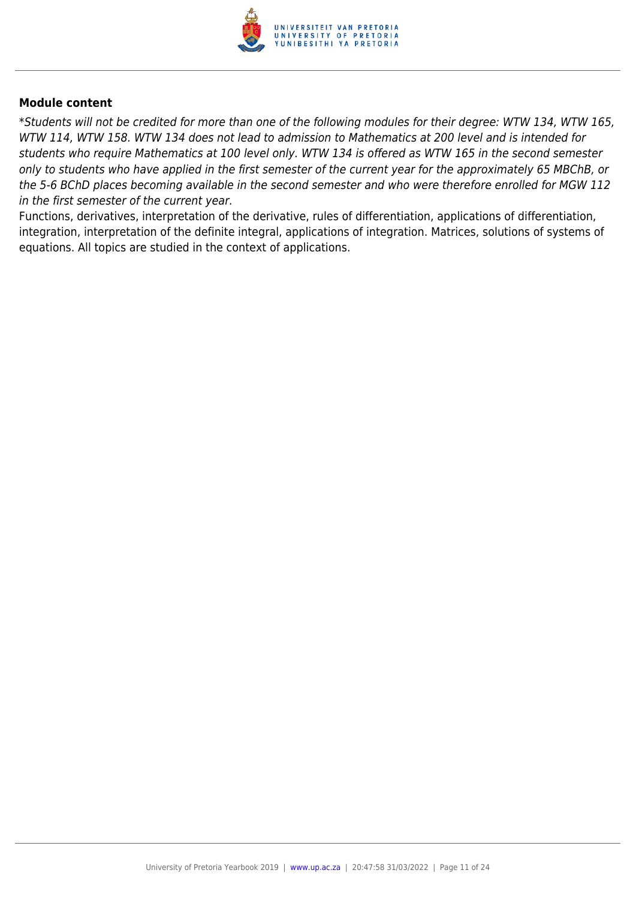

\*Students will not be credited for more than one of the following modules for their degree: WTW 134, WTW 165, WTW 114, WTW 158. WTW 134 does not lead to admission to Mathematics at 200 level and is intended for students who require Mathematics at 100 level only. WTW 134 is offered as WTW 165 in the second semester only to students who have applied in the first semester of the current year for the approximately 65 MBChB, or the 5-6 BChD places becoming available in the second semester and who were therefore enrolled for MGW 112 in the first semester of the current year.

Functions, derivatives, interpretation of the derivative, rules of differentiation, applications of differentiation, integration, interpretation of the definite integral, applications of integration. Matrices, solutions of systems of equations. All topics are studied in the context of applications.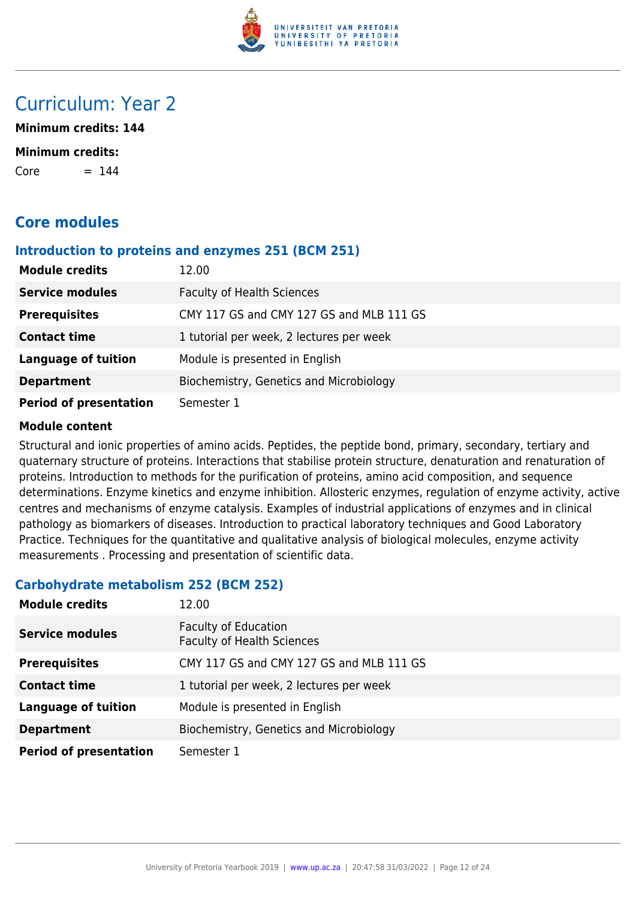

# Curriculum: Year 2

**Minimum credits: 144**

#### **Minimum credits:**

 $Core = 144$ 

# **Core modules**

#### **Introduction to proteins and enzymes 251 (BCM 251)**

| <b>Module credits</b>         | 12.00                                    |
|-------------------------------|------------------------------------------|
| <b>Service modules</b>        | <b>Faculty of Health Sciences</b>        |
| <b>Prerequisites</b>          | CMY 117 GS and CMY 127 GS and MLB 111 GS |
| <b>Contact time</b>           | 1 tutorial per week, 2 lectures per week |
| <b>Language of tuition</b>    | Module is presented in English           |
| <b>Department</b>             | Biochemistry, Genetics and Microbiology  |
| <b>Period of presentation</b> | Semester 1                               |

#### **Module content**

Structural and ionic properties of amino acids. Peptides, the peptide bond, primary, secondary, tertiary and quaternary structure of proteins. Interactions that stabilise protein structure, denaturation and renaturation of proteins. Introduction to methods for the purification of proteins, amino acid composition, and sequence determinations. Enzyme kinetics and enzyme inhibition. Allosteric enzymes, regulation of enzyme activity, active centres and mechanisms of enzyme catalysis. Examples of industrial applications of enzymes and in clinical pathology as biomarkers of diseases. Introduction to practical laboratory techniques and Good Laboratory Practice. Techniques for the quantitative and qualitative analysis of biological molecules, enzyme activity measurements . Processing and presentation of scientific data.

#### **Carbohydrate metabolism 252 (BCM 252)**

| <b>Module credits</b>         | 12.00                                                            |
|-------------------------------|------------------------------------------------------------------|
| <b>Service modules</b>        | <b>Faculty of Education</b><br><b>Faculty of Health Sciences</b> |
| <b>Prerequisites</b>          | CMY 117 GS and CMY 127 GS and MLB 111 GS                         |
| <b>Contact time</b>           | 1 tutorial per week, 2 lectures per week                         |
| <b>Language of tuition</b>    | Module is presented in English                                   |
| <b>Department</b>             | Biochemistry, Genetics and Microbiology                          |
| <b>Period of presentation</b> | Semester 1                                                       |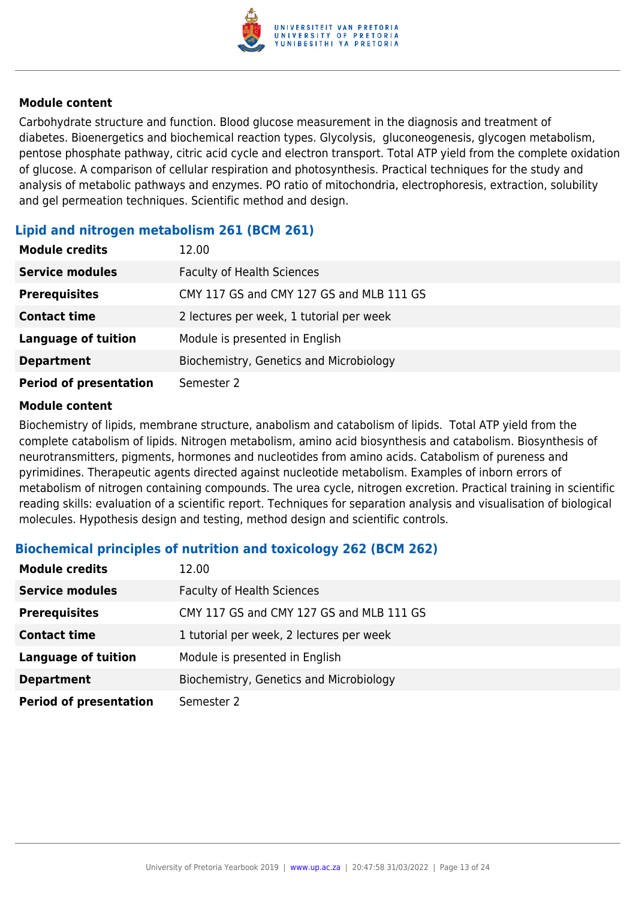

Carbohydrate structure and function. Blood glucose measurement in the diagnosis and treatment of diabetes. Bioenergetics and biochemical reaction types. Glycolysis, gluconeogenesis, glycogen metabolism, pentose phosphate pathway, citric acid cycle and electron transport. Total ATP yield from the complete oxidation of glucose. A comparison of cellular respiration and photosynthesis. Practical techniques for the study and analysis of metabolic pathways and enzymes. PO ratio of mitochondria, electrophoresis, extraction, solubility and gel permeation techniques. Scientific method and design.

#### **Lipid and nitrogen metabolism 261 (BCM 261)**

| <b>Module credits</b>         | 12.00                                    |
|-------------------------------|------------------------------------------|
| <b>Service modules</b>        | <b>Faculty of Health Sciences</b>        |
| <b>Prerequisites</b>          | CMY 117 GS and CMY 127 GS and MLB 111 GS |
| <b>Contact time</b>           | 2 lectures per week, 1 tutorial per week |
| <b>Language of tuition</b>    | Module is presented in English           |
| <b>Department</b>             | Biochemistry, Genetics and Microbiology  |
| <b>Period of presentation</b> | Semester 2                               |

#### **Module content**

Biochemistry of lipids, membrane structure, anabolism and catabolism of lipids. Total ATP yield from the complete catabolism of lipids. Nitrogen metabolism, amino acid biosynthesis and catabolism. Biosynthesis of neurotransmitters, pigments, hormones and nucleotides from amino acids. Catabolism of pureness and pyrimidines. Therapeutic agents directed against nucleotide metabolism. Examples of inborn errors of metabolism of nitrogen containing compounds. The urea cycle, nitrogen excretion. Practical training in scientific reading skills: evaluation of a scientific report. Techniques for separation analysis and visualisation of biological molecules. Hypothesis design and testing, method design and scientific controls.

#### **Biochemical principles of nutrition and toxicology 262 (BCM 262)**

| <b>Module credits</b>         | 12.00                                    |
|-------------------------------|------------------------------------------|
| <b>Service modules</b>        | <b>Faculty of Health Sciences</b>        |
| <b>Prerequisites</b>          | CMY 117 GS and CMY 127 GS and MLB 111 GS |
| <b>Contact time</b>           | 1 tutorial per week, 2 lectures per week |
| <b>Language of tuition</b>    | Module is presented in English           |
| <b>Department</b>             | Biochemistry, Genetics and Microbiology  |
| <b>Period of presentation</b> | Semester 2                               |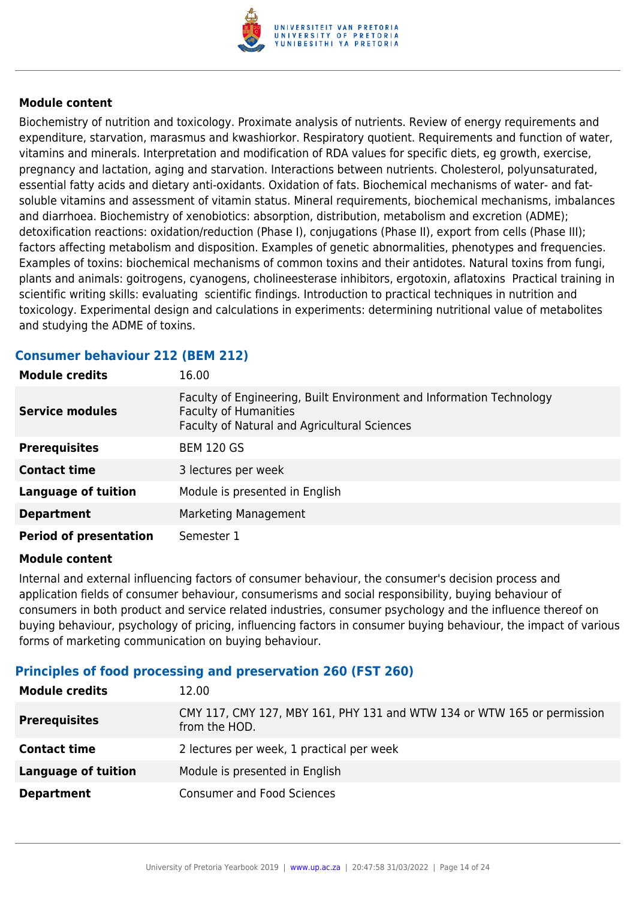

Biochemistry of nutrition and toxicology. Proximate analysis of nutrients. Review of energy requirements and expenditure, starvation, marasmus and kwashiorkor. Respiratory quotient. Requirements and function of water, vitamins and minerals. Interpretation and modification of RDA values for specific diets, eg growth, exercise, pregnancy and lactation, aging and starvation. Interactions between nutrients. Cholesterol, polyunsaturated, essential fatty acids and dietary anti-oxidants. Oxidation of fats. Biochemical mechanisms of water- and fatsoluble vitamins and assessment of vitamin status. Mineral requirements, biochemical mechanisms, imbalances and diarrhoea. Biochemistry of xenobiotics: absorption, distribution, metabolism and excretion (ADME); detoxification reactions: oxidation/reduction (Phase I), conjugations (Phase II), export from cells (Phase III); factors affecting metabolism and disposition. Examples of genetic abnormalities, phenotypes and frequencies. Examples of toxins: biochemical mechanisms of common toxins and their antidotes. Natural toxins from fungi, plants and animals: goitrogens, cyanogens, cholineesterase inhibitors, ergotoxin, aflatoxins Practical training in scientific writing skills: evaluating scientific findings. Introduction to practical techniques in nutrition and toxicology. Experimental design and calculations in experiments: determining nutritional value of metabolites and studying the ADME of toxins.

#### **Consumer behaviour 212 (BEM 212)**

| <b>Module credits</b>         | 16.00                                                                                                                                                       |
|-------------------------------|-------------------------------------------------------------------------------------------------------------------------------------------------------------|
| <b>Service modules</b>        | Faculty of Engineering, Built Environment and Information Technology<br><b>Faculty of Humanities</b><br><b>Faculty of Natural and Agricultural Sciences</b> |
| <b>Prerequisites</b>          | <b>BEM 120 GS</b>                                                                                                                                           |
| <b>Contact time</b>           | 3 lectures per week                                                                                                                                         |
| <b>Language of tuition</b>    | Module is presented in English                                                                                                                              |
| <b>Department</b>             | Marketing Management                                                                                                                                        |
| <b>Period of presentation</b> | Semester 1                                                                                                                                                  |

#### **Module content**

Internal and external influencing factors of consumer behaviour, the consumer's decision process and application fields of consumer behaviour, consumerisms and social responsibility, buying behaviour of consumers in both product and service related industries, consumer psychology and the influence thereof on buying behaviour, psychology of pricing, influencing factors in consumer buying behaviour, the impact of various forms of marketing communication on buying behaviour.

#### **Principles of food processing and preservation 260 (FST 260)**

| <b>Module credits</b> | 12.00                                                                                    |
|-----------------------|------------------------------------------------------------------------------------------|
| <b>Prerequisites</b>  | CMY 117, CMY 127, MBY 161, PHY 131 and WTW 134 or WTW 165 or permission<br>from the HOD. |
| <b>Contact time</b>   | 2 lectures per week, 1 practical per week                                                |
| Language of tuition   | Module is presented in English                                                           |
| <b>Department</b>     | <b>Consumer and Food Sciences</b>                                                        |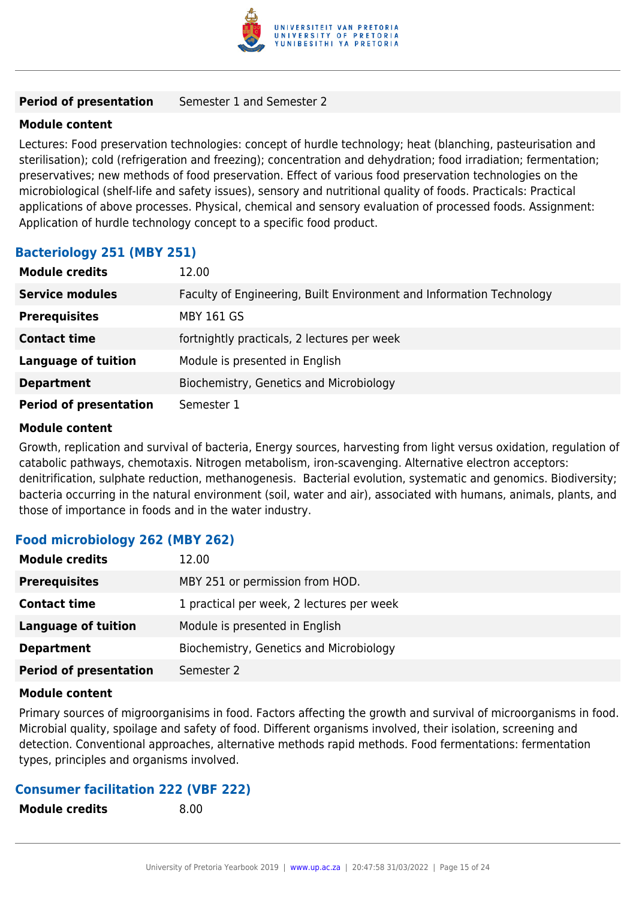

#### **Period of presentation** Semester 1 and Semester 2

#### **Module content**

Lectures: Food preservation technologies: concept of hurdle technology; heat (blanching, pasteurisation and sterilisation); cold (refrigeration and freezing); concentration and dehydration; food irradiation; fermentation; preservatives; new methods of food preservation. Effect of various food preservation technologies on the microbiological (shelf-life and safety issues), sensory and nutritional quality of foods. Practicals: Practical applications of above processes. Physical, chemical and sensory evaluation of processed foods. Assignment: Application of hurdle technology concept to a specific food product.

#### **Bacteriology 251 (MBY 251)**

| <b>Module credits</b>         | 12.00                                                                |  |
|-------------------------------|----------------------------------------------------------------------|--|
| <b>Service modules</b>        | Faculty of Engineering, Built Environment and Information Technology |  |
| <b>Prerequisites</b>          | <b>MBY 161 GS</b>                                                    |  |
| <b>Contact time</b>           | fortnightly practicals, 2 lectures per week                          |  |
| <b>Language of tuition</b>    | Module is presented in English                                       |  |
| <b>Department</b>             | Biochemistry, Genetics and Microbiology                              |  |
| <b>Period of presentation</b> | Semester 1                                                           |  |

#### **Module content**

Growth, replication and survival of bacteria, Energy sources, harvesting from light versus oxidation, regulation of catabolic pathways, chemotaxis. Nitrogen metabolism, iron-scavenging. Alternative electron acceptors: denitrification, sulphate reduction, methanogenesis. Bacterial evolution, systematic and genomics. Biodiversity; bacteria occurring in the natural environment (soil, water and air), associated with humans, animals, plants, and those of importance in foods and in the water industry.

#### **Food microbiology 262 (MBY 262)**

| <b>Module credits</b>         | 12.00                                     |
|-------------------------------|-------------------------------------------|
| <b>Prerequisites</b>          | MBY 251 or permission from HOD.           |
| <b>Contact time</b>           | 1 practical per week, 2 lectures per week |
| <b>Language of tuition</b>    | Module is presented in English            |
| <b>Department</b>             | Biochemistry, Genetics and Microbiology   |
| <b>Period of presentation</b> | Semester 2                                |

#### **Module content**

Primary sources of migroorganisims in food. Factors affecting the growth and survival of microorganisms in food. Microbial quality, spoilage and safety of food. Different organisms involved, their isolation, screening and detection. Conventional approaches, alternative methods rapid methods. Food fermentations: fermentation types, principles and organisms involved.

#### **Consumer facilitation 222 (VBF 222)**

**Module credits** 8.00

University of Pretoria Yearbook 2019 | [www.up.ac.za](https://www.up.ac.za/yearbooks/home) | 20:47:58 31/03/2022 | Page 15 of 24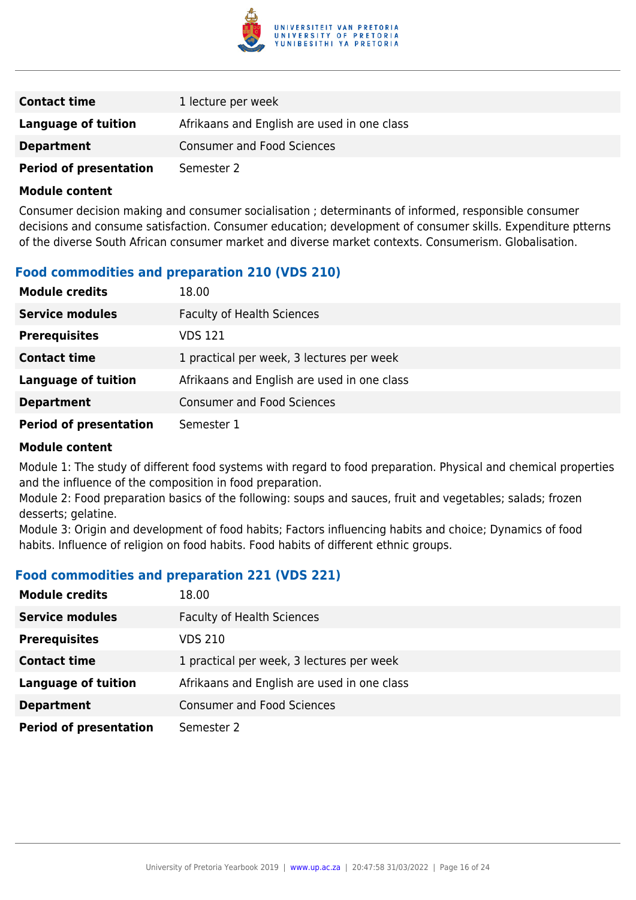

| <b>Contact time</b>           | 1 lecture per week                          |
|-------------------------------|---------------------------------------------|
| Language of tuition           | Afrikaans and English are used in one class |
| <b>Department</b>             | <b>Consumer and Food Sciences</b>           |
| <b>Period of presentation</b> | Semester 2                                  |

Consumer decision making and consumer socialisation ; determinants of informed, responsible consumer decisions and consume satisfaction. Consumer education; development of consumer skills. Expenditure ptterns of the diverse South African consumer market and diverse market contexts. Consumerism. Globalisation.

#### **Food commodities and preparation 210 (VDS 210)**

| <b>Module credits</b>         | 18.00                                       |
|-------------------------------|---------------------------------------------|
| <b>Service modules</b>        | <b>Faculty of Health Sciences</b>           |
| <b>Prerequisites</b>          | VDS 121                                     |
| <b>Contact time</b>           | 1 practical per week, 3 lectures per week   |
| <b>Language of tuition</b>    | Afrikaans and English are used in one class |
| <b>Department</b>             | <b>Consumer and Food Sciences</b>           |
| <b>Period of presentation</b> | Semester 1                                  |

#### **Module content**

Module 1: The study of different food systems with regard to food preparation. Physical and chemical properties and the influence of the composition in food preparation.

Module 2: Food preparation basics of the following: soups and sauces, fruit and vegetables; salads; frozen desserts; gelatine.

Module 3: Origin and development of food habits; Factors influencing habits and choice; Dynamics of food habits. Influence of religion on food habits. Food habits of different ethnic groups.

#### **Food commodities and preparation 221 (VDS 221)**

| <b>Module credits</b>         | 18.00                                       |
|-------------------------------|---------------------------------------------|
| <b>Service modules</b>        | <b>Faculty of Health Sciences</b>           |
| <b>Prerequisites</b>          | VDS 210                                     |
| <b>Contact time</b>           | 1 practical per week, 3 lectures per week   |
| <b>Language of tuition</b>    | Afrikaans and English are used in one class |
| <b>Department</b>             | <b>Consumer and Food Sciences</b>           |
| <b>Period of presentation</b> | Semester 2                                  |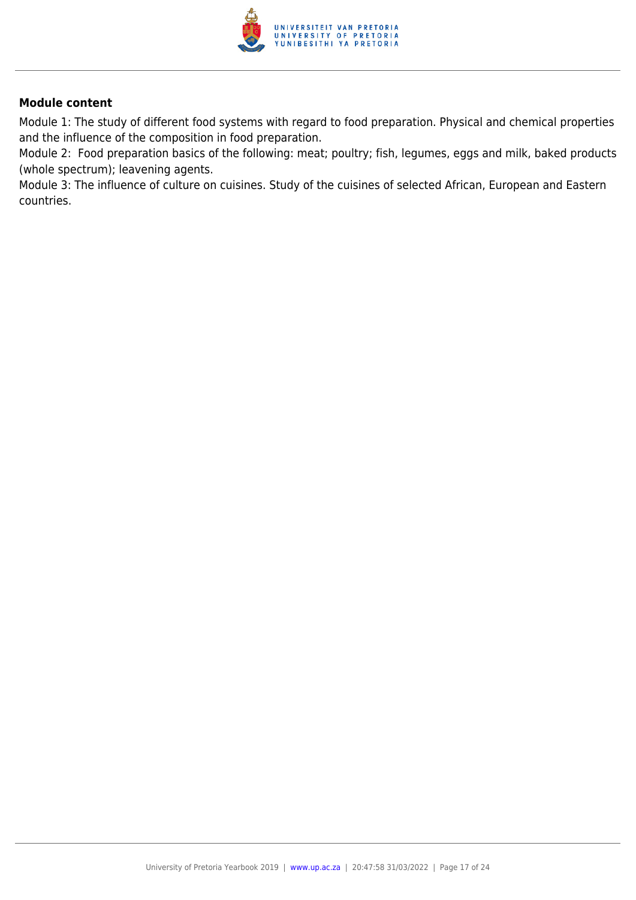

Module 1: The study of different food systems with regard to food preparation. Physical and chemical properties and the influence of the composition in food preparation.

Module 2: Food preparation basics of the following: meat; poultry; fish, legumes, eggs and milk, baked products (whole spectrum); leavening agents.

Module 3: The influence of culture on cuisines. Study of the cuisines of selected African, European and Eastern countries.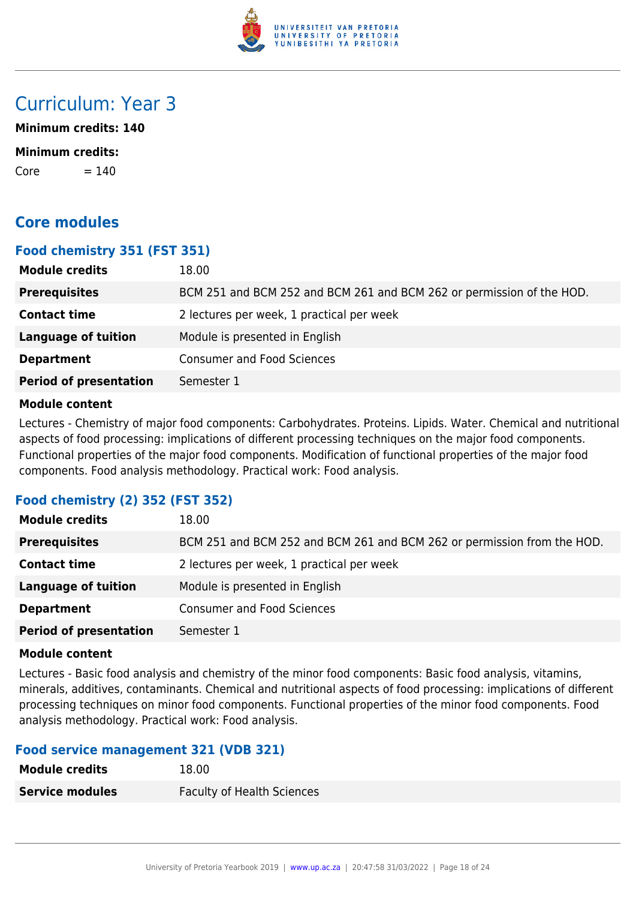

# Curriculum: Year 3

**Minimum credits: 140**

#### **Minimum credits:**

 $Core = 140$ 

### **Core modules**

#### **Food chemistry 351 (FST 351)**

| <b>Module credits</b>         | 18.00                                                                 |
|-------------------------------|-----------------------------------------------------------------------|
| <b>Prerequisites</b>          | BCM 251 and BCM 252 and BCM 261 and BCM 262 or permission of the HOD. |
| <b>Contact time</b>           | 2 lectures per week, 1 practical per week                             |
| <b>Language of tuition</b>    | Module is presented in English                                        |
| <b>Department</b>             | <b>Consumer and Food Sciences</b>                                     |
| <b>Period of presentation</b> | Semester 1                                                            |
|                               |                                                                       |

#### **Module content**

Lectures - Chemistry of major food components: Carbohydrates. Proteins. Lipids. Water. Chemical and nutritional aspects of food processing: implications of different processing techniques on the major food components. Functional properties of the major food components. Modification of functional properties of the major food components. Food analysis methodology. Practical work: Food analysis.

#### **Food chemistry (2) 352 (FST 352)**

| <b>Module credits</b>         | 18.00                                                                   |  |
|-------------------------------|-------------------------------------------------------------------------|--|
| <b>Prerequisites</b>          | BCM 251 and BCM 252 and BCM 261 and BCM 262 or permission from the HOD. |  |
| <b>Contact time</b>           | 2 lectures per week, 1 practical per week                               |  |
| <b>Language of tuition</b>    | Module is presented in English                                          |  |
| <b>Department</b>             | <b>Consumer and Food Sciences</b>                                       |  |
| <b>Period of presentation</b> | Semester 1                                                              |  |

#### **Module content**

Lectures - Basic food analysis and chemistry of the minor food components: Basic food analysis, vitamins, minerals, additives, contaminants. Chemical and nutritional aspects of food processing: implications of different processing techniques on minor food components. Functional properties of the minor food components. Food analysis methodology. Practical work: Food analysis.

#### **Food service management 321 (VDB 321)**

| <b>Module credits</b> | 18.00                             |
|-----------------------|-----------------------------------|
| Service modules       | <b>Faculty of Health Sciences</b> |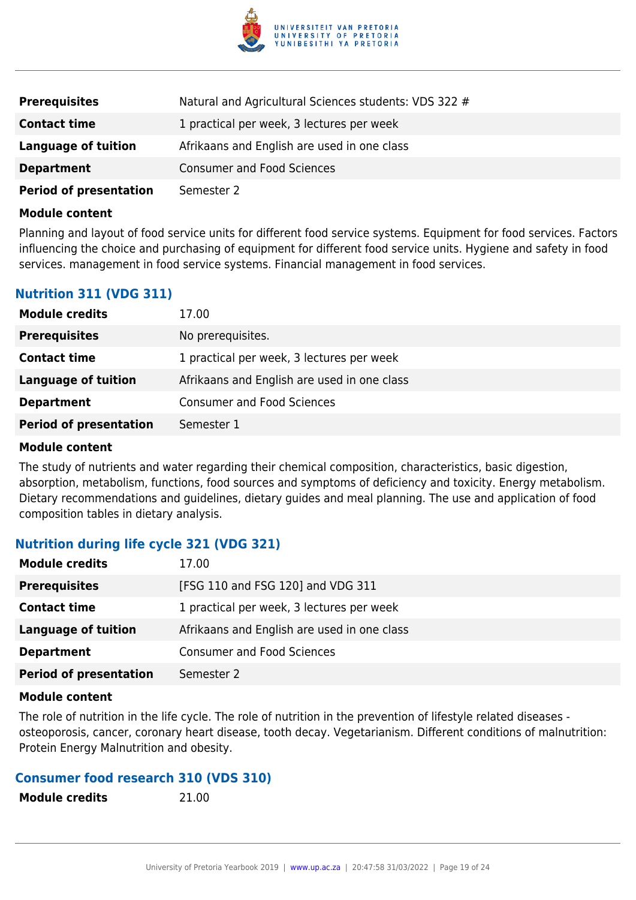

| <b>Prerequisites</b>          | Natural and Agricultural Sciences students: VDS 322 # |
|-------------------------------|-------------------------------------------------------|
| <b>Contact time</b>           | 1 practical per week, 3 lectures per week             |
| Language of tuition           | Afrikaans and English are used in one class           |
| <b>Department</b>             | <b>Consumer and Food Sciences</b>                     |
| <b>Period of presentation</b> | Semester 2                                            |

Planning and layout of food service units for different food service systems. Equipment for food services. Factors influencing the choice and purchasing of equipment for different food service units. Hygiene and safety in food services. management in food service systems. Financial management in food services.

### **Nutrition 311 (VDG 311)**

| <b>Module credits</b>         | 17.00                                       |
|-------------------------------|---------------------------------------------|
| <b>Prerequisites</b>          | No prerequisites.                           |
| <b>Contact time</b>           | 1 practical per week, 3 lectures per week   |
| <b>Language of tuition</b>    | Afrikaans and English are used in one class |
| <b>Department</b>             | <b>Consumer and Food Sciences</b>           |
| <b>Period of presentation</b> | Semester 1                                  |

#### **Module content**

The study of nutrients and water regarding their chemical composition, characteristics, basic digestion, absorption, metabolism, functions, food sources and symptoms of deficiency and toxicity. Energy metabolism. Dietary recommendations and guidelines, dietary guides and meal planning. The use and application of food composition tables in dietary analysis.

### **Nutrition during life cycle 321 (VDG 321)**

| 17.00                                       |
|---------------------------------------------|
| [FSG 110 and FSG 120] and VDG 311           |
| 1 practical per week, 3 lectures per week   |
| Afrikaans and English are used in one class |
| <b>Consumer and Food Sciences</b>           |
| Semester 2                                  |
|                                             |

#### **Module content**

The role of nutrition in the life cycle. The role of nutrition in the prevention of lifestyle related diseases osteoporosis, cancer, coronary heart disease, tooth decay. Vegetarianism. Different conditions of malnutrition: Protein Energy Malnutrition and obesity.

#### **Consumer food research 310 (VDS 310)**

| <b>Module credits</b> |  | 21.00 |  |
|-----------------------|--|-------|--|
|-----------------------|--|-------|--|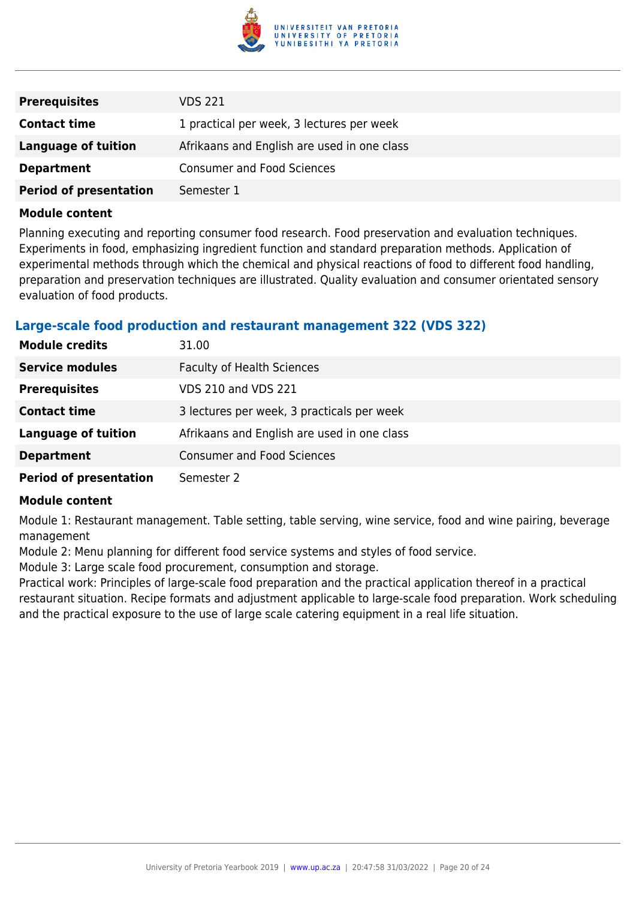

| <b>Prerequisites</b>          | <b>VDS 221</b>                              |
|-------------------------------|---------------------------------------------|
| <b>Contact time</b>           | 1 practical per week, 3 lectures per week   |
| <b>Language of tuition</b>    | Afrikaans and English are used in one class |
| <b>Department</b>             | <b>Consumer and Food Sciences</b>           |
| <b>Period of presentation</b> | Semester 1                                  |

Planning executing and reporting consumer food research. Food preservation and evaluation techniques. Experiments in food, emphasizing ingredient function and standard preparation methods. Application of experimental methods through which the chemical and physical reactions of food to different food handling, preparation and preservation techniques are illustrated. Quality evaluation and consumer orientated sensory evaluation of food products.

#### **Large-scale food production and restaurant management 322 (VDS 322)**

| <b>Module credits</b>         | 31.00                                       |
|-------------------------------|---------------------------------------------|
| <b>Service modules</b>        | <b>Faculty of Health Sciences</b>           |
| <b>Prerequisites</b>          | VDS 210 and VDS 221                         |
| <b>Contact time</b>           | 3 lectures per week, 3 practicals per week  |
| <b>Language of tuition</b>    | Afrikaans and English are used in one class |
| <b>Department</b>             | <b>Consumer and Food Sciences</b>           |
| <b>Period of presentation</b> | Semester 2                                  |

#### **Module content**

Module 1: Restaurant management. Table setting, table serving, wine service, food and wine pairing, beverage management

Module 2: Menu planning for different food service systems and styles of food service.

Module 3: Large scale food procurement, consumption and storage.

Practical work: Principles of large-scale food preparation and the practical application thereof in a practical restaurant situation. Recipe formats and adjustment applicable to large-scale food preparation. Work scheduling and the practical exposure to the use of large scale catering equipment in a real life situation.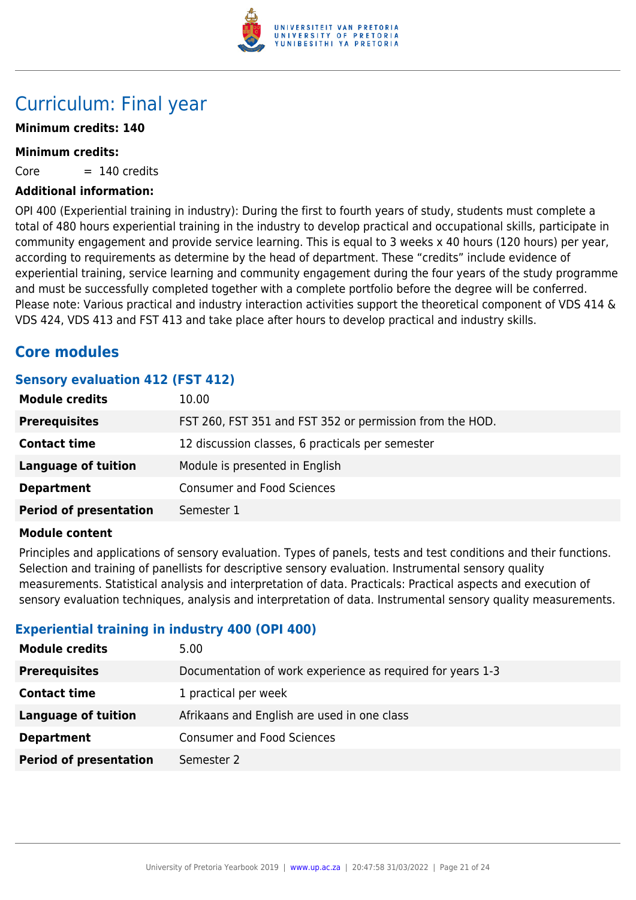

# Curriculum: Final year

#### **Minimum credits: 140**

#### **Minimum credits:**

 $Core = 140 \text{ credits}$ 

#### **Additional information:**

OPI 400 (Experiential training in industry): During the first to fourth years of study, students must complete a total of 480 hours experiential training in the industry to develop practical and occupational skills, participate in community engagement and provide service learning. This is equal to 3 weeks x 40 hours (120 hours) per year, according to requirements as determine by the head of department. These "credits" include evidence of experiential training, service learning and community engagement during the four years of the study programme and must be successfully completed together with a complete portfolio before the degree will be conferred. Please note: Various practical and industry interaction activities support the theoretical component of VDS 414 & VDS 424, VDS 413 and FST 413 and take place after hours to develop practical and industry skills.

### **Core modules**

#### **Sensory evaluation 412 (FST 412)**

| <b>Module credits</b>         | 10.00                                                    |
|-------------------------------|----------------------------------------------------------|
| <b>Prerequisites</b>          | FST 260, FST 351 and FST 352 or permission from the HOD. |
| <b>Contact time</b>           | 12 discussion classes, 6 practicals per semester         |
| <b>Language of tuition</b>    | Module is presented in English                           |
| <b>Department</b>             | <b>Consumer and Food Sciences</b>                        |
| <b>Period of presentation</b> | Semester 1                                               |
|                               |                                                          |

#### **Module content**

Principles and applications of sensory evaluation. Types of panels, tests and test conditions and their functions. Selection and training of panellists for descriptive sensory evaluation. Instrumental sensory quality measurements. Statistical analysis and interpretation of data. Practicals: Practical aspects and execution of sensory evaluation techniques, analysis and interpretation of data. Instrumental sensory quality measurements.

#### **Experiential training in industry 400 (OPI 400)**

| <b>Module credits</b>         | 5.00                                                       |
|-------------------------------|------------------------------------------------------------|
| <b>Prerequisites</b>          | Documentation of work experience as required for years 1-3 |
| <b>Contact time</b>           | 1 practical per week                                       |
| <b>Language of tuition</b>    | Afrikaans and English are used in one class                |
| <b>Department</b>             | <b>Consumer and Food Sciences</b>                          |
| <b>Period of presentation</b> | Semester 2                                                 |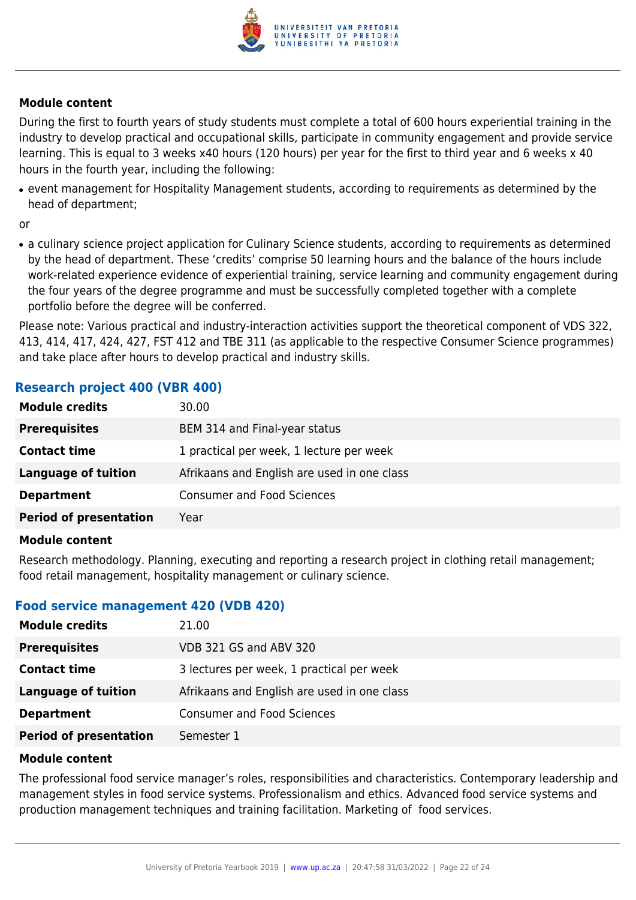

During the first to fourth years of study students must complete a total of 600 hours experiential training in the industry to develop practical and occupational skills, participate in community engagement and provide service learning. This is equal to 3 weeks x40 hours (120 hours) per year for the first to third year and 6 weeks x 40 hours in the fourth year, including the following:

• event management for Hospitality Management students, according to requirements as determined by the head of department;

or

• a culinary science project application for Culinary Science students, according to requirements as determined by the head of department. These 'credits' comprise 50 learning hours and the balance of the hours include work-related experience evidence of experiential training, service learning and community engagement during the four years of the degree programme and must be successfully completed together with a complete portfolio before the degree will be conferred.

Please note: Various practical and industry-interaction activities support the theoretical component of VDS 322, 413, 414, 417, 424, 427, FST 412 and TBE 311 (as applicable to the respective Consumer Science programmes) and take place after hours to develop practical and industry skills.

#### **Research project 400 (VBR 400)**

| <b>Module credits</b>         | 30.00                                       |
|-------------------------------|---------------------------------------------|
| <b>Prerequisites</b>          | BEM 314 and Final-year status               |
| <b>Contact time</b>           | 1 practical per week, 1 lecture per week    |
| <b>Language of tuition</b>    | Afrikaans and English are used in one class |
| <b>Department</b>             | <b>Consumer and Food Sciences</b>           |
| <b>Period of presentation</b> | Year                                        |

#### **Module content**

Research methodology. Planning, executing and reporting a research project in clothing retail management; food retail management, hospitality management or culinary science.

#### **Food service management 420 (VDB 420)**

| <b>Module credits</b>         | 21.00                                       |
|-------------------------------|---------------------------------------------|
| <b>Prerequisites</b>          | VDB 321 GS and ABV 320                      |
| <b>Contact time</b>           | 3 lectures per week, 1 practical per week   |
| Language of tuition           | Afrikaans and English are used in one class |
| <b>Department</b>             | <b>Consumer and Food Sciences</b>           |
| <b>Period of presentation</b> | Semester 1                                  |

#### **Module content**

The professional food service manager's roles, responsibilities and characteristics. Contemporary leadership and management styles in food service systems. Professionalism and ethics. Advanced food service systems and production management techniques and training facilitation. Marketing of food services.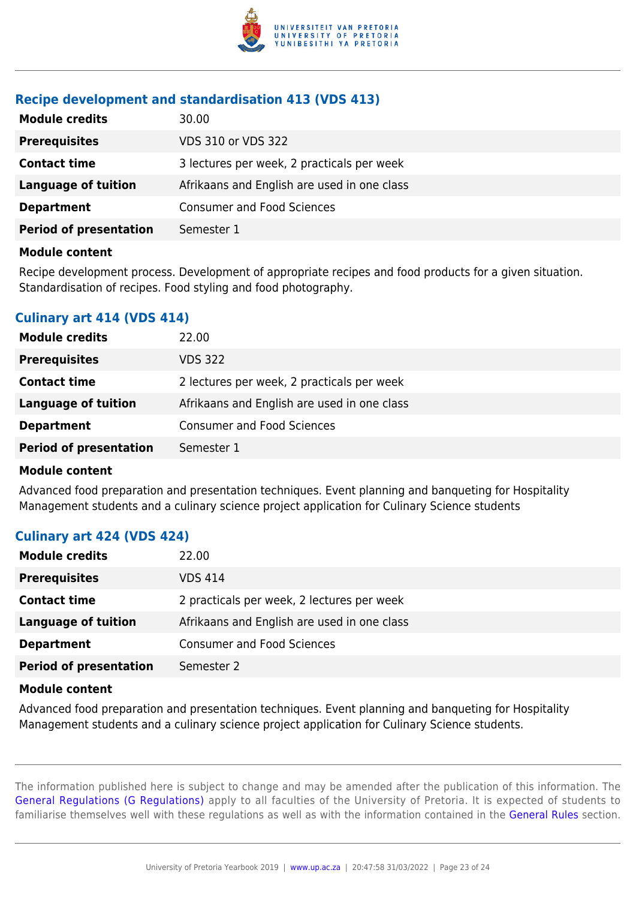

### **Recipe development and standardisation 413 (VDS 413)**

| <b>Module credits</b>         | 30.00                                       |
|-------------------------------|---------------------------------------------|
| <b>Prerequisites</b>          | <b>VDS 310 or VDS 322</b>                   |
| <b>Contact time</b>           | 3 lectures per week, 2 practicals per week  |
| <b>Language of tuition</b>    | Afrikaans and English are used in one class |
| <b>Department</b>             | <b>Consumer and Food Sciences</b>           |
| <b>Period of presentation</b> | Semester 1                                  |
|                               |                                             |

#### **Module content**

Recipe development process. Development of appropriate recipes and food products for a given situation. Standardisation of recipes. Food styling and food photography.

# **Culinary art 414 (VDS 414)**

| <b>Module credits</b>         | 22.00                                       |
|-------------------------------|---------------------------------------------|
| <b>Prerequisites</b>          | <b>VDS 322</b>                              |
| <b>Contact time</b>           | 2 lectures per week, 2 practicals per week  |
| <b>Language of tuition</b>    | Afrikaans and English are used in one class |
| <b>Department</b>             | <b>Consumer and Food Sciences</b>           |
| <b>Period of presentation</b> | Semester 1                                  |

#### **Module content**

Advanced food preparation and presentation techniques. Event planning and banqueting for Hospitality Management students and a culinary science project application for Culinary Science students

#### **Culinary art 424 (VDS 424)**

| <b>Module credits</b>         | 22.00                                       |
|-------------------------------|---------------------------------------------|
| <b>Prerequisites</b>          | <b>VDS 414</b>                              |
| <b>Contact time</b>           | 2 practicals per week, 2 lectures per week  |
| <b>Language of tuition</b>    | Afrikaans and English are used in one class |
| <b>Department</b>             | <b>Consumer and Food Sciences</b>           |
| <b>Period of presentation</b> | Semester 2                                  |
| Madula cantant                |                                             |

#### **Module content**

Advanced food preparation and presentation techniques. Event planning and banqueting for Hospitality Management students and a culinary science project application for Culinary Science students.

The information published here is subject to change and may be amended after the publication of this information. The [General Regulations \(G Regulations\)](https://www.up.ac.za/yearbooks/2019/rules/view/REG) apply to all faculties of the University of Pretoria. It is expected of students to familiarise themselves well with these regulations as well as with the information contained in the [General Rules](https://www.up.ac.za/yearbooks/2019/rules/view/RUL) section.